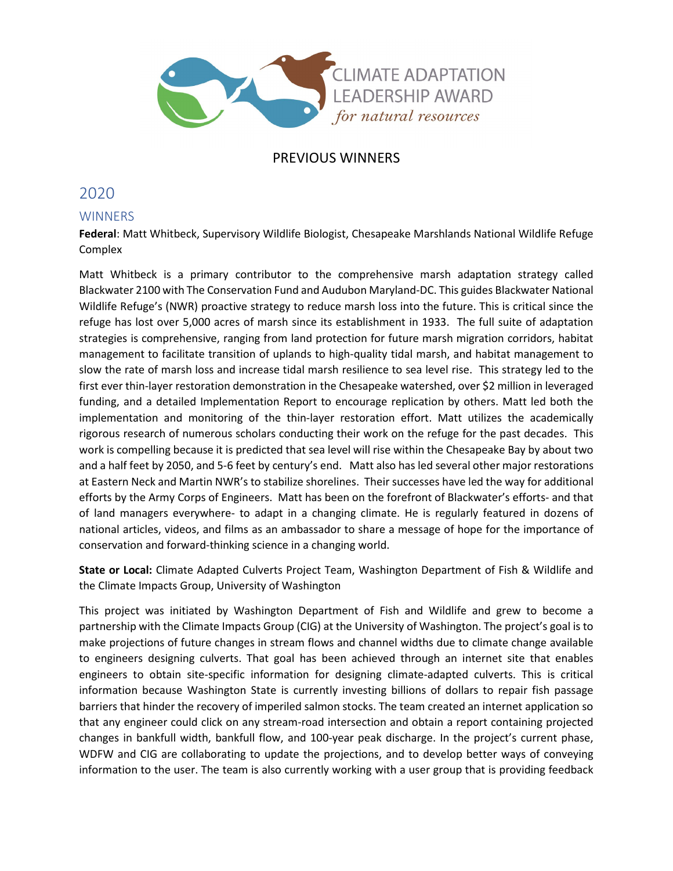

# PREVIOUS WINNERS

# 2020

# **WINNERS**

**Federal**: Matt Whitbeck, Supervisory Wildlife Biologist, Chesapeake Marshlands National Wildlife Refuge Complex

Matt Whitbeck is a primary contributor to the comprehensive marsh adaptation strategy called Blackwater 2100 with The Conservation Fund and Audubon Maryland-DC. This guides Blackwater National Wildlife Refuge's (NWR) proactive strategy to reduce marsh loss into the future. This is critical since the refuge has lost over 5,000 acres of marsh since its establishment in 1933. The full suite of adaptation strategies is comprehensive, ranging from land protection for future marsh migration corridors, habitat management to facilitate transition of uplands to high-quality tidal marsh, and habitat management to slow the rate of marsh loss and increase tidal marsh resilience to sea level rise. This strategy led to the first ever thin-layer restoration demonstration in the Chesapeake watershed, over \$2 million in leveraged funding, and a detailed Implementation Report to encourage replication by others. Matt led both the implementation and monitoring of the thin-layer restoration effort. Matt utilizes the academically rigorous research of numerous scholars conducting their work on the refuge for the past decades. This work is compelling because it is predicted that sea level will rise within the Chesapeake Bay by about two and a half feet by 2050, and 5-6 feet by century's end. Matt also has led several other major restorations at Eastern Neck and Martin NWR's to stabilize shorelines. Their successes have led the way for additional efforts by the Army Corps of Engineers. Matt has been on the forefront of Blackwater's efforts- and that of land managers everywhere- to adapt in a changing climate. He is regularly featured in dozens of national articles, videos, and films as an ambassador to share a message of hope for the importance of conservation and forward-thinking science in a changing world.

**State or Local:** Climate Adapted Culverts Project Team, Washington Department of Fish & Wildlife and the Climate Impacts Group, University of Washington

This project was initiated by Washington Department of Fish and Wildlife and grew to become a partnership with the Climate Impacts Group (CIG) at the University of Washington. The project's goal is to make projections of future changes in stream flows and channel widths due to climate change available to engineers designing culverts. That goal has been achieved through an internet site that enables engineers to obtain site-specific information for designing climate-adapted culverts. This is critical information because Washington State is currently investing billions of dollars to repair fish passage barriers that hinder the recovery of imperiled salmon stocks. The team created an internet application so that any engineer could click on any stream-road intersection and obtain a report containing projected changes in bankfull width, bankfull flow, and 100-year peak discharge. In the project's current phase, WDFW and CIG are collaborating to update the projections, and to develop better ways of conveying information to the user. The team is also currently working with a user group that is providing feedback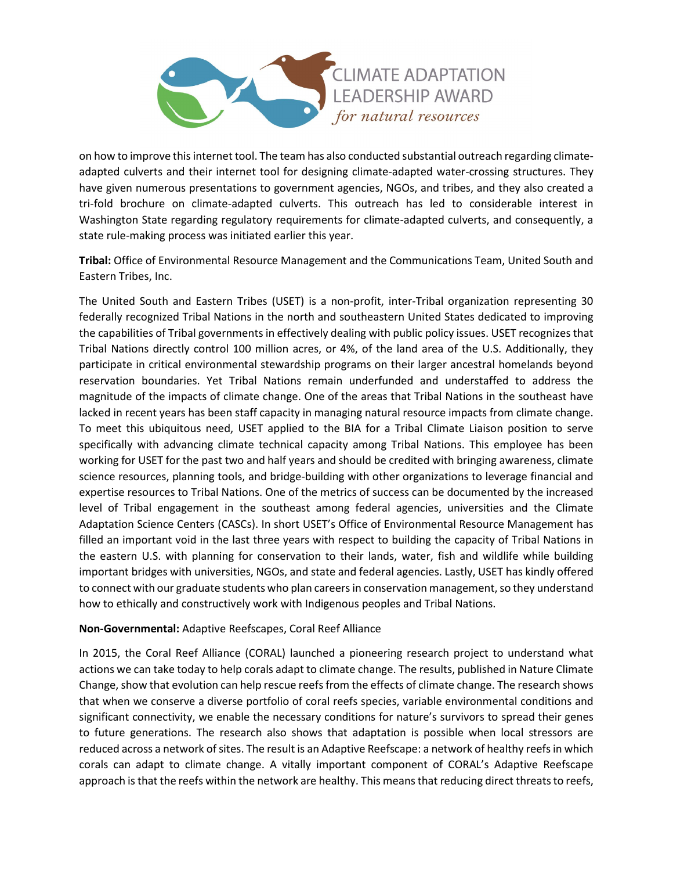

on how to improve this internet tool. The team has also conducted substantial outreach regarding climateadapted culverts and their internet tool for designing climate-adapted water-crossing structures. They have given numerous presentations to government agencies, NGOs, and tribes, and they also created a tri-fold brochure on climate-adapted culverts. This outreach has led to considerable interest in Washington State regarding regulatory requirements for climate-adapted culverts, and consequently, a state rule-making process was initiated earlier this year.

**Tribal:** Office of Environmental Resource Management and the Communications Team, United South and Eastern Tribes, Inc.

The United South and Eastern Tribes (USET) is a non-profit, inter-Tribal organization representing 30 federally recognized Tribal Nations in the north and southeastern United States dedicated to improving the capabilities of Tribal governments in effectively dealing with public policy issues. USET recognizes that Tribal Nations directly control 100 million acres, or 4%, of the land area of the U.S. Additionally, they participate in critical environmental stewardship programs on their larger ancestral homelands beyond reservation boundaries. Yet Tribal Nations remain underfunded and understaffed to address the magnitude of the impacts of climate change. One of the areas that Tribal Nations in the southeast have lacked in recent years has been staff capacity in managing natural resource impacts from climate change. To meet this ubiquitous need, USET applied to the BIA for a Tribal Climate Liaison position to serve specifically with advancing climate technical capacity among Tribal Nations. This employee has been working for USET for the past two and half years and should be credited with bringing awareness, climate science resources, planning tools, and bridge-building with other organizations to leverage financial and expertise resources to Tribal Nations. One of the metrics of success can be documented by the increased level of Tribal engagement in the southeast among federal agencies, universities and the Climate Adaptation Science Centers (CASCs). In short USET's Office of Environmental Resource Management has filled an important void in the last three years with respect to building the capacity of Tribal Nations in the eastern U.S. with planning for conservation to their lands, water, fish and wildlife while building important bridges with universities, NGOs, and state and federal agencies. Lastly, USET has kindly offered to connect with our graduate students who plan careers in conservation management, so they understand how to ethically and constructively work with Indigenous peoples and Tribal Nations.

#### **Non-Governmental:** Adaptive Reefscapes, Coral Reef Alliance

In 2015, the Coral Reef Alliance (CORAL) launched a pioneering research project to understand what actions we can take today to help corals adapt to climate change. The results, published in Nature Climate Change, show that evolution can help rescue reefs from the effects of climate change. The research shows that when we conserve a diverse portfolio of coral reefs species, variable environmental conditions and significant connectivity, we enable the necessary conditions for nature's survivors to spread their genes to future generations. The research also shows that adaptation is possible when local stressors are reduced across a network of sites. The result is an Adaptive Reefscape: a network of healthy reefs in which corals can adapt to climate change. A vitally important component of CORAL's Adaptive Reefscape approach is that the reefs within the network are healthy. This means that reducing direct threats to reefs,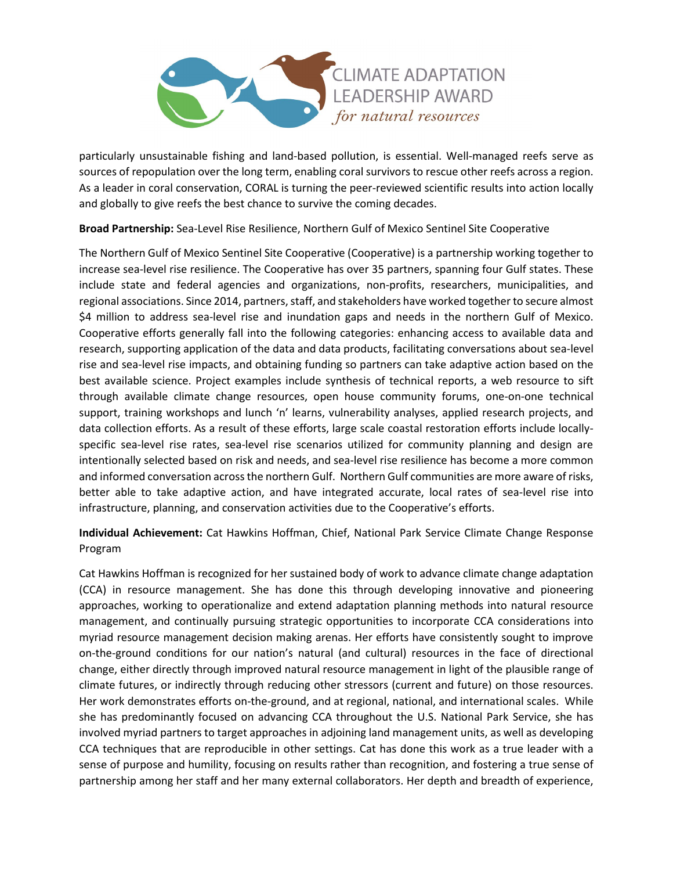

particularly unsustainable fishing and land-based pollution, is essential. Well-managed reefs serve as sources of repopulation over the long term, enabling coral survivors to rescue other reefs across a region. As a leader in coral conservation, CORAL is turning the peer-reviewed scientific results into action locally and globally to give reefs the best chance to survive the coming decades.

**Broad Partnership:** Sea-Level Rise Resilience, Northern Gulf of Mexico Sentinel Site Cooperative

The Northern Gulf of Mexico Sentinel Site Cooperative (Cooperative) is a partnership working together to increase sea-level rise resilience. The Cooperative has over 35 partners, spanning four Gulf states. These include state and federal agencies and organizations, non-profits, researchers, municipalities, and regional associations. Since 2014, partners, staff, and stakeholders have worked together to secure almost \$4 million to address sea-level rise and inundation gaps and needs in the northern Gulf of Mexico. Cooperative efforts generally fall into the following categories: enhancing access to available data and research, supporting application of the data and data products, facilitating conversations about sea-level rise and sea-level rise impacts, and obtaining funding so partners can take adaptive action based on the best available science. Project examples include synthesis of technical reports, a web resource to sift through available climate change resources, open house community forums, one-on-one technical support, training workshops and lunch 'n' learns, vulnerability analyses, applied research projects, and data collection efforts. As a result of these efforts, large scale coastal restoration efforts include locallyspecific sea-level rise rates, sea-level rise scenarios utilized for community planning and design are intentionally selected based on risk and needs, and sea-level rise resilience has become a more common and informed conversation across the northern Gulf. Northern Gulf communities are more aware of risks, better able to take adaptive action, and have integrated accurate, local rates of sea-level rise into infrastructure, planning, and conservation activities due to the Cooperative's efforts.

**Individual Achievement:** Cat Hawkins Hoffman, Chief, National Park Service Climate Change Response Program

Cat Hawkins Hoffman is recognized for her sustained body of work to advance climate change adaptation (CCA) in resource management. She has done this through developing innovative and pioneering approaches, working to operationalize and extend adaptation planning methods into natural resource management, and continually pursuing strategic opportunities to incorporate CCA considerations into myriad resource management decision making arenas. Her efforts have consistently sought to improve on-the-ground conditions for our nation's natural (and cultural) resources in the face of directional change, either directly through improved natural resource management in light of the plausible range of climate futures, or indirectly through reducing other stressors (current and future) on those resources. Her work demonstrates efforts on-the-ground, and at regional, national, and international scales. While she has predominantly focused on advancing CCA throughout the U.S. National Park Service, she has involved myriad partners to target approaches in adjoining land management units, as well as developing CCA techniques that are reproducible in other settings. Cat has done this work as a true leader with a sense of purpose and humility, focusing on results rather than recognition, and fostering a true sense of partnership among her staff and her many external collaborators. Her depth and breadth of experience,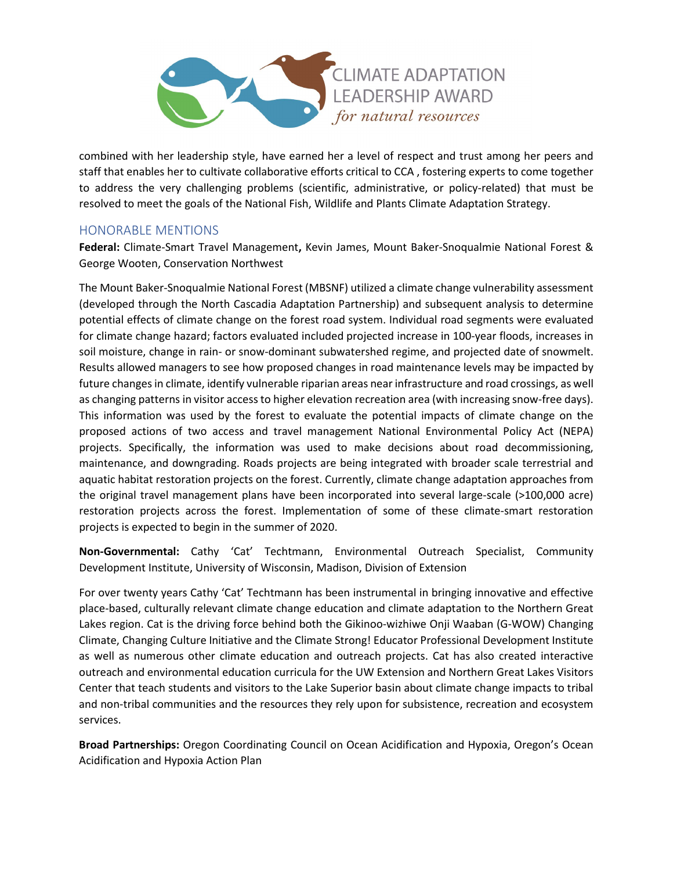

combined with her leadership style, have earned her a level of respect and trust among her peers and staff that enables her to cultivate collaborative efforts critical to CCA , fostering experts to come together to address the very challenging problems (scientific, administrative, or policy-related) that must be resolved to meet the goals of the National Fish, Wildlife and Plants Climate Adaptation Strategy.

# HONORABLE MENTIONS

**Federal:** Climate-Smart Travel Management**,** Kevin James, Mount Baker-Snoqualmie National Forest & George Wooten, Conservation Northwest

The Mount Baker-Snoqualmie National Forest (MBSNF) utilized a climate change vulnerability assessment (developed through the North Cascadia Adaptation Partnership) and subsequent analysis to determine potential effects of climate change on the forest road system. Individual road segments were evaluated for climate change hazard; factors evaluated included projected increase in 100-year floods, increases in soil moisture, change in rain- or snow-dominant subwatershed regime, and projected date of snowmelt. Results allowed managers to see how proposed changes in road maintenance levels may be impacted by future changes in climate, identify vulnerable riparian areas near infrastructure and road crossings, as well as changing patterns in visitor access to higher elevation recreation area (with increasing snow-free days). This information was used by the forest to evaluate the potential impacts of climate change on the proposed actions of two access and travel management National Environmental Policy Act (NEPA) projects. Specifically, the information was used to make decisions about road decommissioning, maintenance, and downgrading. Roads projects are being integrated with broader scale terrestrial and aquatic habitat restoration projects on the forest. Currently, climate change adaptation approaches from the original travel management plans have been incorporated into several large-scale (>100,000 acre) restoration projects across the forest. Implementation of some of these climate-smart restoration projects is expected to begin in the summer of 2020.

**Non-Governmental:** Cathy 'Cat' Techtmann, Environmental Outreach Specialist, Community Development Institute, University of Wisconsin, Madison, Division of Extension

For over twenty years Cathy 'Cat' Techtmann has been instrumental in bringing innovative and effective place-based, culturally relevant climate change education and climate adaptation to the Northern Great Lakes region. Cat is the driving force behind both the Gikinoo-wizhiwe Onji Waaban (G-WOW) Changing Climate, Changing Culture Initiative and the Climate Strong! Educator Professional Development Institute as well as numerous other climate education and outreach projects. Cat has also created interactive outreach and environmental education curricula for the UW Extension and Northern Great Lakes Visitors Center that teach students and visitors to the Lake Superior basin about climate change impacts to tribal and non-tribal communities and the resources they rely upon for subsistence, recreation and ecosystem services.

**Broad Partnerships:** Oregon Coordinating Council on Ocean Acidification and Hypoxia, Oregon's Ocean Acidification and Hypoxia Action Plan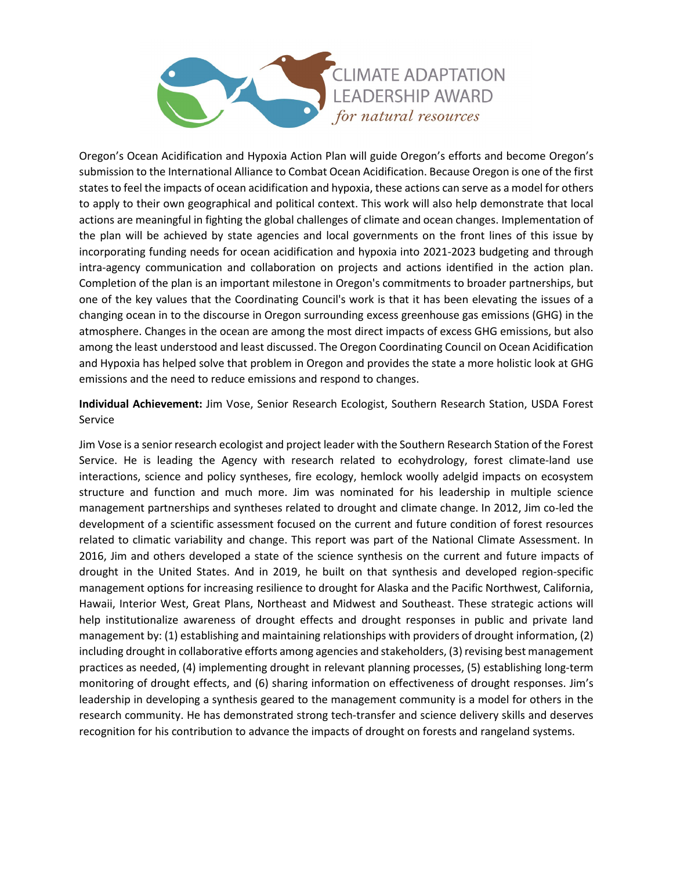

Oregon's Ocean Acidification and Hypoxia Action Plan will guide Oregon's efforts and become Oregon's submission to the International Alliance to Combat Ocean Acidification. Because Oregon is one of the first states to feel the impacts of ocean acidification and hypoxia, these actions can serve as a model for others to apply to their own geographical and political context. This work will also help demonstrate that local actions are meaningful in fighting the global challenges of climate and ocean changes. Implementation of the plan will be achieved by state agencies and local governments on the front lines of this issue by incorporating funding needs for ocean acidification and hypoxia into 2021-2023 budgeting and through intra-agency communication and collaboration on projects and actions identified in the action plan. Completion of the plan is an important milestone in Oregon's commitments to broader partnerships, but one of the key values that the Coordinating Council's work is that it has been elevating the issues of a changing ocean in to the discourse in Oregon surrounding excess greenhouse gas emissions (GHG) in the atmosphere. Changes in the ocean are among the most direct impacts of excess GHG emissions, but also among the least understood and least discussed. The Oregon Coordinating Council on Ocean Acidification and Hypoxia has helped solve that problem in Oregon and provides the state a more holistic look at GHG emissions and the need to reduce emissions and respond to changes.

**Individual Achievement:** Jim Vose, Senior Research Ecologist, Southern Research Station, USDA Forest Service

Jim Vose is a senior research ecologist and project leader with the Southern Research Station of the Forest Service. He is leading the Agency with research related to ecohydrology, forest climate-land use interactions, science and policy syntheses, fire ecology, hemlock woolly adelgid impacts on ecosystem structure and function and much more. Jim was nominated for his leadership in multiple science management partnerships and syntheses related to drought and climate change. In 2012, Jim co-led the development of a scientific assessment focused on the current and future condition of forest resources related to climatic variability and change. This report was part of the National Climate Assessment. In 2016, Jim and others developed a state of the science synthesis on the current and future impacts of drought in the United States. And in 2019, he built on that synthesis and developed region-specific management options for increasing resilience to drought for Alaska and the Pacific Northwest, California, Hawaii, Interior West, Great Plans, Northeast and Midwest and Southeast. These strategic actions will help institutionalize awareness of drought effects and drought responses in public and private land management by: (1) establishing and maintaining relationships with providers of drought information, (2) including drought in collaborative efforts among agencies and stakeholders, (3) revising best management practices as needed, (4) implementing drought in relevant planning processes, (5) establishing long-term monitoring of drought effects, and (6) sharing information on effectiveness of drought responses. Jim's leadership in developing a synthesis geared to the management community is a model for others in the research community. He has demonstrated strong tech-transfer and science delivery skills and deserves recognition for his contribution to advance the impacts of drought on forests and rangeland systems.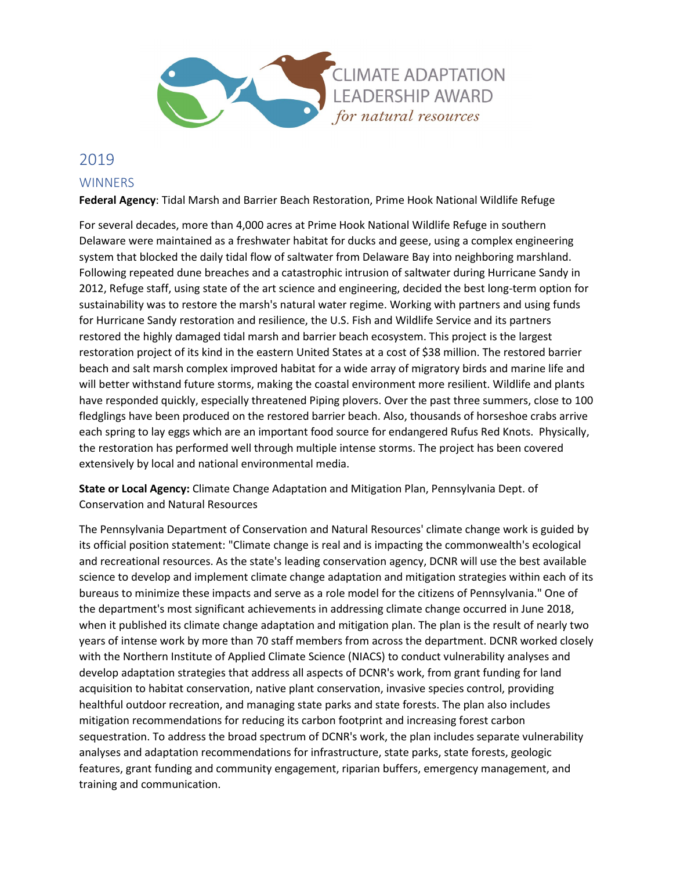

# 2019 **WINNERS**

#### **Federal Agency**: Tidal Marsh and Barrier Beach Restoration, Prime Hook National Wildlife Refuge

For several decades, more than 4,000 acres at Prime Hook National Wildlife Refuge in southern Delaware were maintained as a freshwater habitat for ducks and geese, using a complex engineering system that blocked the daily tidal flow of saltwater from Delaware Bay into neighboring marshland. Following repeated dune breaches and a catastrophic intrusion of saltwater during Hurricane Sandy in 2012, Refuge staff, using state of the art science and engineering, decided the best long-term option for sustainability was to restore the marsh's natural water regime. Working with partners and using funds for Hurricane Sandy restoration and resilience, the U.S. Fish and Wildlife Service and its partners restored the highly damaged tidal marsh and barrier beach ecosystem. This project is the largest restoration project of its kind in the eastern United States at a cost of \$38 million. The restored barrier beach and salt marsh complex improved habitat for a wide array of migratory birds and marine life and will better withstand future storms, making the coastal environment more resilient. Wildlife and plants have responded quickly, especially threatened Piping plovers. Over the past three summers, close to 100 fledglings have been produced on the restored barrier beach. Also, thousands of horseshoe crabs arrive each spring to lay eggs which are an important food source for endangered Rufus Red Knots. Physically, the restoration has performed well through multiple intense storms. The project has been covered extensively by local and national environmental media.

**State or Local Agency:** Climate Change Adaptation and Mitigation Plan, Pennsylvania Dept. of Conservation and Natural Resources

The Pennsylvania Department of Conservation and Natural Resources' climate change work is guided by its official position statement: "Climate change is real and is impacting the commonwealth's ecological and recreational resources. As the state's leading conservation agency, DCNR will use the best available science to develop and implement climate change adaptation and mitigation strategies within each of its bureaus to minimize these impacts and serve as a role model for the citizens of Pennsylvania." One of the department's most significant achievements in addressing climate change occurred in June 2018, when it published its climate change adaptation and mitigation plan. The plan is the result of nearly two years of intense work by more than 70 staff members from across the department. DCNR worked closely with the Northern Institute of Applied Climate Science (NIACS) to conduct vulnerability analyses and develop adaptation strategies that address all aspects of DCNR's work, from grant funding for land acquisition to habitat conservation, native plant conservation, invasive species control, providing healthful outdoor recreation, and managing state parks and state forests. The plan also includes mitigation recommendations for reducing its carbon footprint and increasing forest carbon sequestration. To address the broad spectrum of DCNR's work, the plan includes separate vulnerability analyses and adaptation recommendations for infrastructure, state parks, state forests, geologic features, grant funding and community engagement, riparian buffers, emergency management, and training and communication.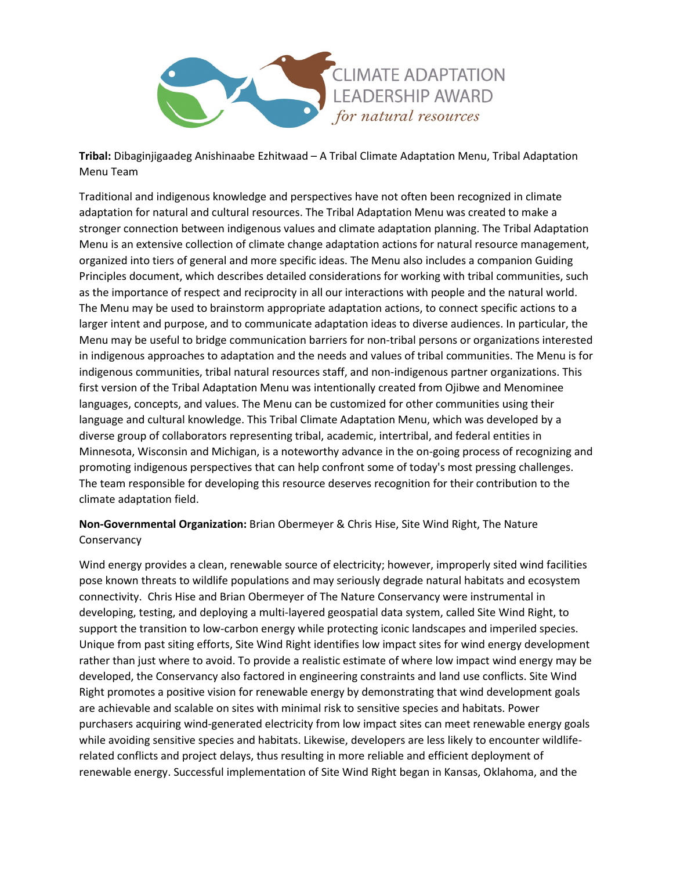

**Tribal:** Dibaginjigaadeg Anishinaabe Ezhitwaad – A Tribal Climate Adaptation Menu, Tribal Adaptation Menu Team

Traditional and indigenous knowledge and perspectives have not often been recognized in climate adaptation for natural and cultural resources. The Tribal Adaptation Menu was created to make a stronger connection between indigenous values and climate adaptation planning. The Tribal Adaptation Menu is an extensive collection of climate change adaptation actions for natural resource management, organized into tiers of general and more specific ideas. The Menu also includes a companion Guiding Principles document, which describes detailed considerations for working with tribal communities, such as the importance of respect and reciprocity in all our interactions with people and the natural world. The Menu may be used to brainstorm appropriate adaptation actions, to connect specific actions to a larger intent and purpose, and to communicate adaptation ideas to diverse audiences. In particular, the Menu may be useful to bridge communication barriers for non-tribal persons or organizations interested in indigenous approaches to adaptation and the needs and values of tribal communities. The Menu is for indigenous communities, tribal natural resources staff, and non-indigenous partner organizations. This first version of the Tribal Adaptation Menu was intentionally created from Ojibwe and Menominee languages, concepts, and values. The Menu can be customized for other communities using their language and cultural knowledge. This Tribal Climate Adaptation Menu, which was developed by a diverse group of collaborators representing tribal, academic, intertribal, and federal entities in Minnesota, Wisconsin and Michigan, is a noteworthy advance in the on-going process of recognizing and promoting indigenous perspectives that can help confront some of today's most pressing challenges. The team responsible for developing this resource deserves recognition for their contribution to the climate adaptation field.

**Non-Governmental Organization:** Brian Obermeyer & Chris Hise, Site Wind Right, The Nature **Conservancy** 

Wind energy provides a clean, renewable source of electricity; however, improperly sited wind facilities pose known threats to wildlife populations and may seriously degrade natural habitats and ecosystem connectivity. Chris Hise and Brian Obermeyer of The Nature Conservancy were instrumental in developing, testing, and deploying a multi-layered geospatial data system, called Site Wind Right, to support the transition to low-carbon energy while protecting iconic landscapes and imperiled species. Unique from past siting efforts, Site Wind Right identifies low impact sites for wind energy development rather than just where to avoid. To provide a realistic estimate of where low impact wind energy may be developed, the Conservancy also factored in engineering constraints and land use conflicts. Site Wind Right promotes a positive vision for renewable energy by demonstrating that wind development goals are achievable and scalable on sites with minimal risk to sensitive species and habitats. Power purchasers acquiring wind-generated electricity from low impact sites can meet renewable energy goals while avoiding sensitive species and habitats. Likewise, developers are less likely to encounter wildliferelated conflicts and project delays, thus resulting in more reliable and efficient deployment of renewable energy. Successful implementation of Site Wind Right began in Kansas, Oklahoma, and the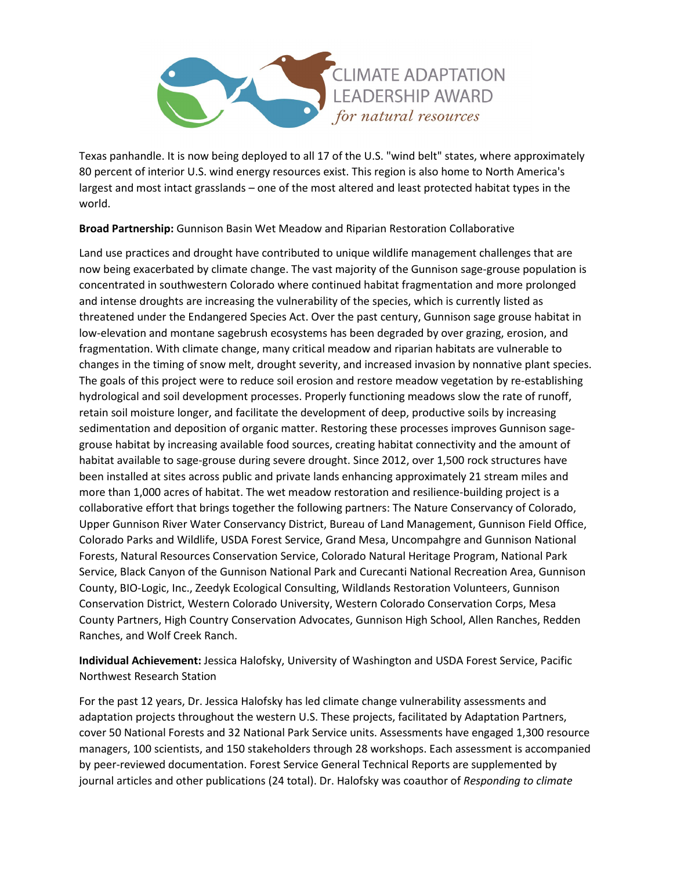

Texas panhandle. It is now being deployed to all 17 of the U.S. "wind belt" states, where approximately 80 percent of interior U.S. wind energy resources exist. This region is also home to North America's largest and most intact grasslands – one of the most altered and least protected habitat types in the world.

**Broad Partnership:** Gunnison Basin Wet Meadow and Riparian Restoration Collaborative

Land use practices and drought have contributed to unique wildlife management challenges that are now being exacerbated by climate change. The vast majority of the Gunnison sage-grouse population is concentrated in southwestern Colorado where continued habitat fragmentation and more prolonged and intense droughts are increasing the vulnerability of the species, which is currently listed as threatened under the Endangered Species Act. Over the past century, Gunnison sage grouse habitat in low-elevation and montane sagebrush ecosystems has been degraded by over grazing, erosion, and fragmentation. With climate change, many critical meadow and riparian habitats are vulnerable to changes in the timing of snow melt, drought severity, and increased invasion by nonnative plant species. The goals of this project were to reduce soil erosion and restore meadow vegetation by re-establishing hydrological and soil development processes. Properly functioning meadows slow the rate of runoff, retain soil moisture longer, and facilitate the development of deep, productive soils by increasing sedimentation and deposition of organic matter. Restoring these processes improves Gunnison sagegrouse habitat by increasing available food sources, creating habitat connectivity and the amount of habitat available to sage-grouse during severe drought. Since 2012, over 1,500 rock structures have been installed at sites across public and private lands enhancing approximately 21 stream miles and more than 1,000 acres of habitat. The wet meadow restoration and resilience-building project is a collaborative effort that brings together the following partners: The Nature Conservancy of Colorado, Upper Gunnison River Water Conservancy District, Bureau of Land Management, Gunnison Field Office, Colorado Parks and Wildlife, USDA Forest Service, Grand Mesa, Uncompahgre and Gunnison National Forests, Natural Resources Conservation Service, Colorado Natural Heritage Program, National Park Service, Black Canyon of the Gunnison National Park and Curecanti National Recreation Area, Gunnison County, BIO-Logic, Inc., Zeedyk Ecological Consulting, Wildlands Restoration Volunteers, Gunnison Conservation District, Western Colorado University, Western Colorado Conservation Corps, Mesa County Partners, High Country Conservation Advocates, Gunnison High School, Allen Ranches, Redden Ranches, and Wolf Creek Ranch.

**Individual Achievement:** Jessica Halofsky, University of Washington and USDA Forest Service, Pacific Northwest Research Station

For the past 12 years, Dr. Jessica Halofsky has led climate change vulnerability assessments and adaptation projects throughout the western U.S. These projects, facilitated by Adaptation Partners, cover 50 National Forests and 32 National Park Service units. Assessments have engaged 1,300 resource managers, 100 scientists, and 150 stakeholders through 28 workshops. Each assessment is accompanied by peer-reviewed documentation. Forest Service General Technical Reports are supplemented by journal articles and other publications (24 total). Dr. Halofsky was coauthor of *Responding to climate*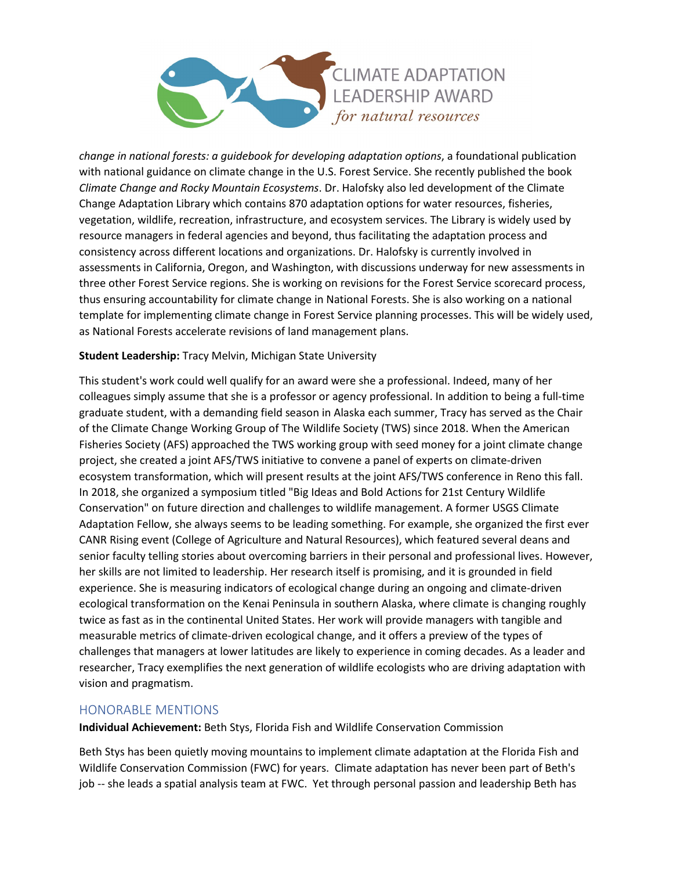

*change in national forests: a guidebook for developing adaptation options*, a foundational publication with national guidance on climate change in the U.S. Forest Service. She recently published the book *Climate Change and Rocky Mountain Ecosystems*. Dr. Halofsky also led development of the Climate Change Adaptation Library which contains 870 adaptation options for water resources, fisheries, vegetation, wildlife, recreation, infrastructure, and ecosystem services. The Library is widely used by resource managers in federal agencies and beyond, thus facilitating the adaptation process and consistency across different locations and organizations. Dr. Halofsky is currently involved in assessments in California, Oregon, and Washington, with discussions underway for new assessments in three other Forest Service regions. She is working on revisions for the Forest Service scorecard process, thus ensuring accountability for climate change in National Forests. She is also working on a national template for implementing climate change in Forest Service planning processes. This will be widely used, as National Forests accelerate revisions of land management plans.

#### **Student Leadership:** Tracy Melvin, Michigan State University

This student's work could well qualify for an award were she a professional. Indeed, many of her colleagues simply assume that she is a professor or agency professional. In addition to being a full-time graduate student, with a demanding field season in Alaska each summer, Tracy has served as the Chair of the Climate Change Working Group of The Wildlife Society (TWS) since 2018. When the American Fisheries Society (AFS) approached the TWS working group with seed money for a joint climate change project, she created a joint AFS/TWS initiative to convene a panel of experts on climate-driven ecosystem transformation, which will present results at the joint AFS/TWS conference in Reno this fall. In 2018, she organized a symposium titled "Big Ideas and Bold Actions for 21st Century Wildlife Conservation" on future direction and challenges to wildlife management. A former USGS Climate Adaptation Fellow, she always seems to be leading something. For example, she organized the first ever CANR Rising event (College of Agriculture and Natural Resources), which featured several deans and senior faculty telling stories about overcoming barriers in their personal and professional lives. However, her skills are not limited to leadership. Her research itself is promising, and it is grounded in field experience. She is measuring indicators of ecological change during an ongoing and climate-driven ecological transformation on the Kenai Peninsula in southern Alaska, where climate is changing roughly twice as fast as in the continental United States. Her work will provide managers with tangible and measurable metrics of climate-driven ecological change, and it offers a preview of the types of challenges that managers at lower latitudes are likely to experience in coming decades. As a leader and researcher, Tracy exemplifies the next generation of wildlife ecologists who are driving adaptation with vision and pragmatism.

## HONORABLE MENTIONS

**Individual Achievement:** Beth Stys, Florida Fish and Wildlife Conservation Commission

Beth Stys has been quietly moving mountains to implement climate adaptation at the Florida Fish and Wildlife Conservation Commission (FWC) for years. Climate adaptation has never been part of Beth's job -- she leads a spatial analysis team at FWC. Yet through personal passion and leadership Beth has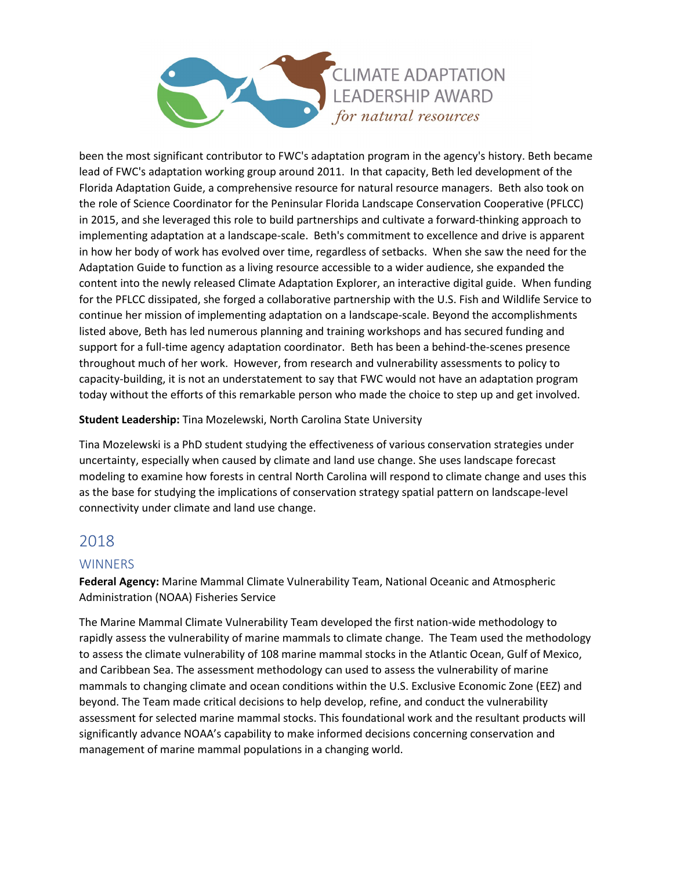

been the most significant contributor to FWC's adaptation program in the agency's history. Beth became lead of FWC's adaptation working group around 2011. In that capacity, Beth led development of the Florida Adaptation Guide, a comprehensive resource for natural resource managers. Beth also took on the role of Science Coordinator for the Peninsular Florida Landscape Conservation Cooperative (PFLCC) in 2015, and she leveraged this role to build partnerships and cultivate a forward-thinking approach to implementing adaptation at a landscape-scale. Beth's commitment to excellence and drive is apparent in how her body of work has evolved over time, regardless of setbacks. When she saw the need for the Adaptation Guide to function as a living resource accessible to a wider audience, she expanded the content into the newly released Climate Adaptation Explorer, an interactive digital guide. When funding for the PFLCC dissipated, she forged a collaborative partnership with the U.S. Fish and Wildlife Service to continue her mission of implementing adaptation on a landscape-scale. Beyond the accomplishments listed above, Beth has led numerous planning and training workshops and has secured funding and support for a full-time agency adaptation coordinator. Beth has been a behind-the-scenes presence throughout much of her work. However, from research and vulnerability assessments to policy to capacity-building, it is not an understatement to say that FWC would not have an adaptation program today without the efforts of this remarkable person who made the choice to step up and get involved.

## **Student Leadership:** Tina Mozelewski, North Carolina State University

Tina Mozelewski is a PhD student studying the effectiveness of various conservation strategies under uncertainty, especially when caused by climate and land use change. She uses landscape forecast modeling to examine how forests in central North Carolina will respond to climate change and uses this as the base for studying the implications of conservation strategy spatial pattern on landscape-level connectivity under climate and land use change.

# 2018

## **WINNERS**

**Federal Agency:** Marine Mammal Climate Vulnerability Team, National Oceanic and Atmospheric Administration (NOAA) Fisheries Service

The Marine Mammal Climate Vulnerability Team developed the first nation-wide methodology to rapidly assess the vulnerability of marine mammals to climate change. The Team used the methodology to assess the climate vulnerability of 108 marine mammal stocks in the Atlantic Ocean, Gulf of Mexico, and Caribbean Sea. The assessment methodology can used to assess the vulnerability of marine mammals to changing climate and ocean conditions within the U.S. Exclusive Economic Zone (EEZ) and beyond. The Team made critical decisions to help develop, refine, and conduct the vulnerability assessment for selected marine mammal stocks. This foundational work and the resultant products will significantly advance NOAA's capability to make informed decisions concerning conservation and management of marine mammal populations in a changing world.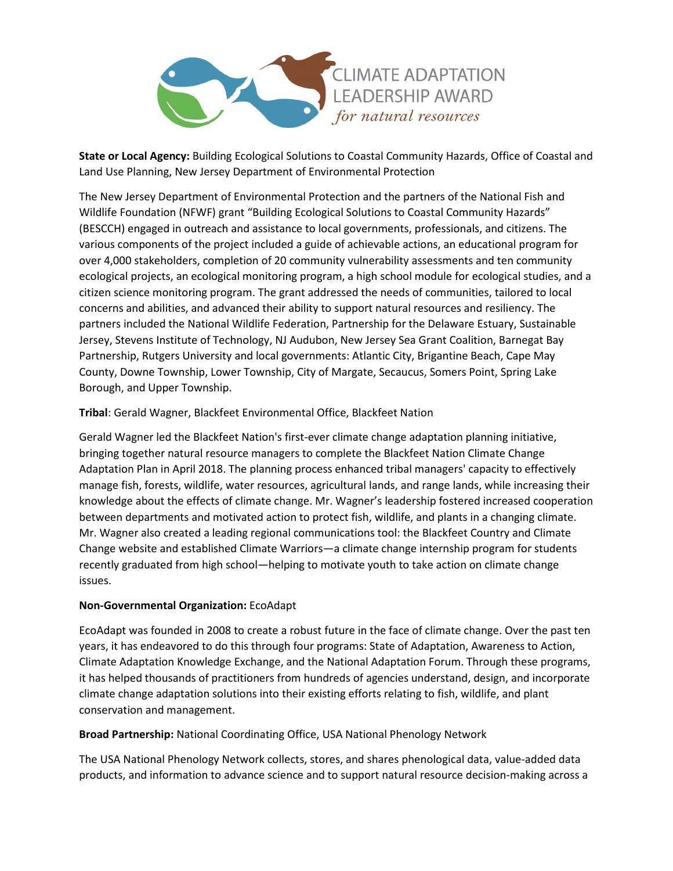

**State or Local Agency:** Building Ecological Solutions to Coastal Community Hazards, Office of Coastal and Land Use Planning, New Jersey Department of Environmental Protection

The New Jersey Department of Environmental Protection and the partners of the National Fish and Wildlife Foundation (NFWF) grant "Building Ecological Solutions to Coastal Community Hazards" (BESCCH) engaged in outreach and assistance to local governments, professionals, and citizens. The various components of the project included a guide of achievable actions, an educational program for over 4,000 stakeholders, completion of 20 community vulnerability assessments and ten community ecological projects, an ecological monitoring program, a high school module for ecological studies, and a citizen science monitoring program. The grant addressed the needs of communities, tailored to local concerns and abilities, and advanced their ability to support natural resources and resiliency. The partners included the National Wildlife Federation, Partnership for the Delaware Estuary, Sustainable Jersey, Stevens Institute of Technology, NJ Audubon, New Jersey Sea Grant Coalition, Barnegat Bay Partnership, Rutgers University and local governments: Atlantic City, Brigantine Beach, Cape May County, Downe Township, Lower Township, City of Margate, Secaucus, Somers Point, Spring Lake Borough, and Upper Township.

#### **Tribal**: Gerald Wagner, Blackfeet Environmental Office, Blackfeet Nation

Gerald Wagner led the Blackfeet Nation's first-ever climate change adaptation planning initiative, bringing together natural resource managers to complete the Blackfeet Nation Climate Change Adaptation Plan in April 2018. The planning process enhanced tribal managers' capacity to effectively manage fish, forests, wildlife, water resources, agricultural lands, and range lands, while increasing their knowledge about the effects of climate change. Mr. Wagner's leadership fostered increased cooperation between departments and motivated action to protect fish, wildlife, and plants in a changing climate. Mr. Wagner also created a leading regional communications tool: the Blackfeet Country and Climate Change website and established Climate Warriors—a climate change internship program for students recently graduated from high school—helping to motivate youth to take action on climate change issues.

#### **Non-Governmental Organization:** EcoAdapt

EcoAdapt was founded in 2008 to create a robust future in the face of climate change. Over the past ten years, it has endeavored to do this through four programs: State of Adaptation, Awareness to Action, Climate Adaptation Knowledge Exchange, and the National Adaptation Forum. Through these programs, it has helped thousands of practitioners from hundreds of agencies understand, design, and incorporate climate change adaptation solutions into their existing efforts relating to fish, wildlife, and plant conservation and management.

#### **Broad Partnership:** National Coordinating Office, USA National Phenology Network

The USA National Phenology Network collects, stores, and shares phenological data, value-added data products, and information to advance science and to support natural resource decision-making across a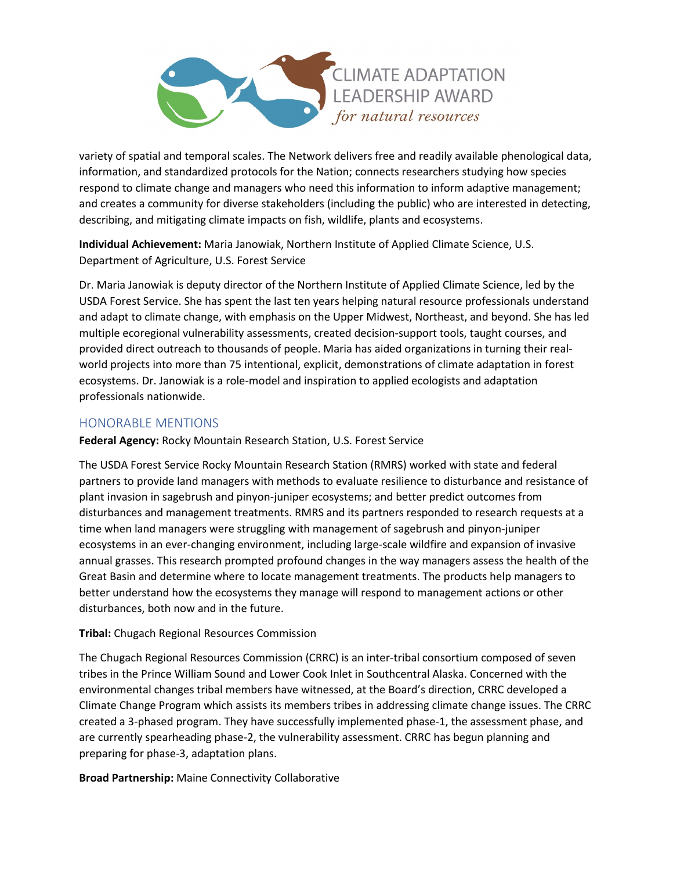

variety of spatial and temporal scales. The Network delivers free and readily available phenological data, information, and standardized protocols for the Nation; connects researchers studying how species respond to climate change and managers who need this information to inform adaptive management; and creates a community for diverse stakeholders (including the public) who are interested in detecting, describing, and mitigating climate impacts on fish, wildlife, plants and ecosystems.

**Individual Achievement:** Maria Janowiak, Northern Institute of Applied Climate Science, U.S. Department of Agriculture, U.S. Forest Service

Dr. Maria Janowiak is deputy director of the Northern Institute of Applied Climate Science, led by the USDA Forest Service. She has spent the last ten years helping natural resource professionals understand and adapt to climate change, with emphasis on the Upper Midwest, Northeast, and beyond. She has led multiple ecoregional vulnerability assessments, created decision-support tools, taught courses, and provided direct outreach to thousands of people. Maria has aided organizations in turning their realworld projects into more than 75 intentional, explicit, demonstrations of climate adaptation in forest ecosystems. Dr. Janowiak is a role-model and inspiration to applied ecologists and adaptation professionals nationwide.

# HONORABLE MENTIONS

**Federal Agency:** Rocky Mountain Research Station, U.S. Forest Service

The USDA Forest Service Rocky Mountain Research Station (RMRS) worked with state and federal partners to provide land managers with methods to evaluate resilience to disturbance and resistance of plant invasion in sagebrush and pinyon-juniper ecosystems; and better predict outcomes from disturbances and management treatments. RMRS and its partners responded to research requests at a time when land managers were struggling with management of sagebrush and pinyon-juniper ecosystems in an ever-changing environment, including large-scale wildfire and expansion of invasive annual grasses. This research prompted profound changes in the way managers assess the health of the Great Basin and determine where to locate management treatments. The products help managers to better understand how the ecosystems they manage will respond to management actions or other disturbances, both now and in the future.

## **Tribal:** Chugach Regional Resources Commission

The Chugach Regional Resources Commission (CRRC) is an inter-tribal consortium composed of seven tribes in the Prince William Sound and Lower Cook Inlet in Southcentral Alaska. Concerned with the environmental changes tribal members have witnessed, at the Board's direction, CRRC developed a Climate Change Program which assists its members tribes in addressing climate change issues. The CRRC created a 3-phased program. They have successfully implemented phase-1, the assessment phase, and are currently spearheading phase-2, the vulnerability assessment. CRRC has begun planning and preparing for phase-3, adaptation plans.

**Broad Partnership:** Maine Connectivity Collaborative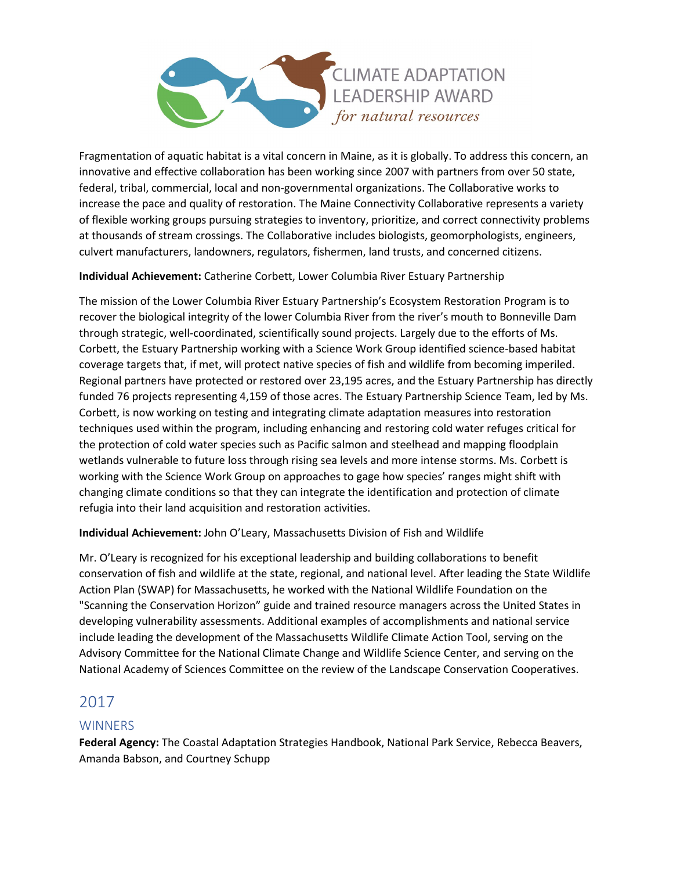

Fragmentation of aquatic habitat is a vital concern in Maine, as it is globally. To address this concern, an innovative and effective collaboration has been working since 2007 with partners from over 50 state, federal, tribal, commercial, local and non-governmental organizations. The Collaborative works to increase the pace and quality of restoration. The Maine Connectivity Collaborative represents a variety of flexible working groups pursuing strategies to inventory, prioritize, and correct connectivity problems at thousands of stream crossings. The Collaborative includes biologists, geomorphologists, engineers, culvert manufacturers, landowners, regulators, fishermen, land trusts, and concerned citizens.

#### **Individual Achievement:** Catherine Corbett, Lower Columbia River Estuary Partnership

The mission of the Lower Columbia River Estuary Partnership's Ecosystem Restoration Program is to recover the biological integrity of the lower Columbia River from the river's mouth to Bonneville Dam through strategic, well-coordinated, scientifically sound projects. Largely due to the efforts of Ms. Corbett, the Estuary Partnership working with a Science Work Group identified science-based habitat coverage targets that, if met, will protect native species of fish and wildlife from becoming imperiled. Regional partners have protected or restored over 23,195 acres, and the Estuary Partnership has directly funded 76 projects representing 4,159 of those acres. The Estuary Partnership Science Team, led by Ms. Corbett, is now working on testing and integrating climate adaptation measures into restoration techniques used within the program, including enhancing and restoring cold water refuges critical for the protection of cold water species such as Pacific salmon and steelhead and mapping floodplain wetlands vulnerable to future loss through rising sea levels and more intense storms. Ms. Corbett is working with the Science Work Group on approaches to gage how species' ranges might shift with changing climate conditions so that they can integrate the identification and protection of climate refugia into their land acquisition and restoration activities.

**Individual Achievement:** John O'Leary, Massachusetts Division of Fish and Wildlife

Mr. O'Leary is recognized for his exceptional leadership and building collaborations to benefit conservation of fish and wildlife at the state, regional, and national level. After leading the State Wildlife Action Plan (SWAP) for Massachusetts, he worked with the National Wildlife Foundation on the "Scanning the Conservation Horizon" guide and trained resource managers across the United States in developing vulnerability assessments. Additional examples of accomplishments and national service include leading the development of the Massachusetts Wildlife Climate Action Tool, serving on the Advisory Committee for the National Climate Change and Wildlife Science Center, and serving on the National Academy of Sciences Committee on the review of the Landscape Conservation Cooperatives.

# 2017

## **WINNERS**

**Federal Agency:** The Coastal Adaptation Strategies Handbook, National Park Service, Rebecca Beavers, Amanda Babson, and Courtney Schupp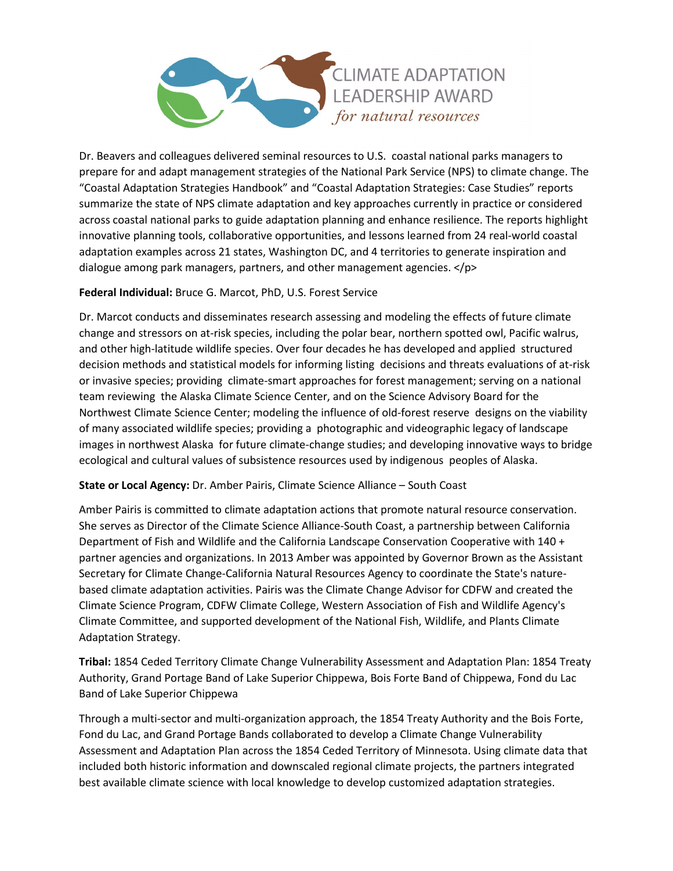

Dr. Beavers and colleagues delivered seminal resources to U.S. coastal national parks managers to prepare for and adapt management strategies of the National Park Service (NPS) to climate change. The "Coastal Adaptation Strategies Handbook" and "Coastal Adaptation Strategies: Case Studies" reports summarize the state of NPS climate adaptation and key approaches currently in practice or considered across coastal national parks to guide adaptation planning and enhance resilience. The reports highlight innovative planning tools, collaborative opportunities, and lessons learned from 24 real-world coastal adaptation examples across 21 states, Washington DC, and 4 territories to generate inspiration and dialogue among park managers, partners, and other management agencies. </p>

#### **Federal Individual:** Bruce G. Marcot, PhD, U.S. Forest Service

Dr. Marcot conducts and disseminates research assessing and modeling the effects of future climate change and stressors on at-risk species, including the polar bear, northern spotted owl, Pacific walrus, and other high-latitude wildlife species. Over four decades he has developed and applied structured decision methods and statistical models for informing listing decisions and threats evaluations of at-risk or invasive species; providing climate-smart approaches for forest management; serving on a national team reviewing the Alaska Climate Science Center, and on the Science Advisory Board for the Northwest Climate Science Center; modeling the influence of old-forest reserve designs on the viability of many associated wildlife species; providing a photographic and videographic legacy of landscape images in northwest Alaska for future climate-change studies; and developing innovative ways to bridge ecological and cultural values of subsistence resources used by indigenous peoples of Alaska.

#### **State or Local Agency:** Dr. Amber Pairis, Climate Science Alliance – South Coast

Amber Pairis is committed to climate adaptation actions that promote natural resource conservation. She serves as Director of the Climate Science Alliance-South Coast, a partnership between California Department of Fish and Wildlife and the California Landscape Conservation Cooperative with 140 + partner agencies and organizations. In 2013 Amber was appointed by Governor Brown as the Assistant Secretary for Climate Change-California Natural Resources Agency to coordinate the State's naturebased climate adaptation activities. Pairis was the Climate Change Advisor for CDFW and created the Climate Science Program, CDFW Climate College, Western Association of Fish and Wildlife Agency's Climate Committee, and supported development of the National Fish, Wildlife, and Plants Climate Adaptation Strategy.

**Tribal:** 1854 Ceded Territory Climate Change Vulnerability Assessment and Adaptation Plan: 1854 Treaty Authority, Grand Portage Band of Lake Superior Chippewa, Bois Forte Band of Chippewa, Fond du Lac Band of Lake Superior Chippewa

Through a multi-sector and multi-organization approach, the 1854 Treaty Authority and the Bois Forte, Fond du Lac, and Grand Portage Bands collaborated to develop a Climate Change Vulnerability Assessment and Adaptation Plan across the 1854 Ceded Territory of Minnesota. Using climate data that included both historic information and downscaled regional climate projects, the partners integrated best available climate science with local knowledge to develop customized adaptation strategies.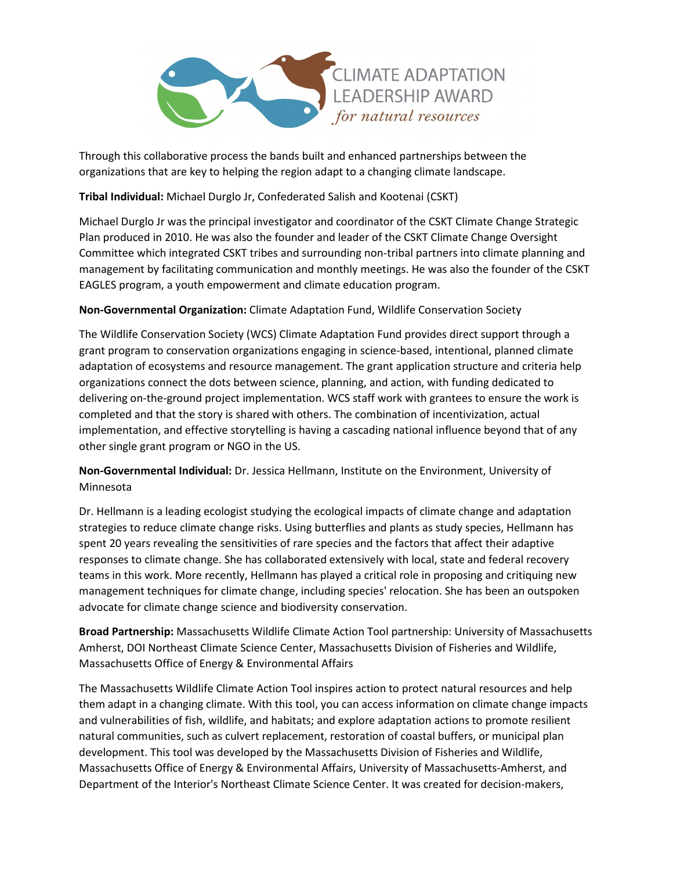

Through this collaborative process the bands built and enhanced partnerships between the organizations that are key to helping the region adapt to a changing climate landscape.

**Tribal Individual:** Michael Durglo Jr, Confederated Salish and Kootenai (CSKT)

Michael Durglo Jr was the principal investigator and coordinator of the CSKT Climate Change Strategic Plan produced in 2010. He was also the founder and leader of the CSKT Climate Change Oversight Committee which integrated CSKT tribes and surrounding non-tribal partners into climate planning and management by facilitating communication and monthly meetings. He was also the founder of the CSKT EAGLES program, a youth empowerment and climate education program.

**Non-Governmental Organization:** Climate Adaptation Fund, Wildlife Conservation Society

The Wildlife Conservation Society (WCS) Climate Adaptation Fund provides direct support through a grant program to conservation organizations engaging in science-based, intentional, planned climate adaptation of ecosystems and resource management. The grant application structure and criteria help organizations connect the dots between science, planning, and action, with funding dedicated to delivering on-the-ground project implementation. WCS staff work with grantees to ensure the work is completed and that the story is shared with others. The combination of incentivization, actual implementation, and effective storytelling is having a cascading national influence beyond that of any other single grant program or NGO in the US.

**Non-Governmental Individual:** Dr. Jessica Hellmann, Institute on the Environment, University of Minnesota

Dr. Hellmann is a leading ecologist studying the ecological impacts of climate change and adaptation strategies to reduce climate change risks. Using butterflies and plants as study species, Hellmann has spent 20 years revealing the sensitivities of rare species and the factors that affect their adaptive responses to climate change. She has collaborated extensively with local, state and federal recovery teams in this work. More recently, Hellmann has played a critical role in proposing and critiquing new management techniques for climate change, including species' relocation. She has been an outspoken advocate for climate change science and biodiversity conservation.

**Broad Partnership:** Massachusetts Wildlife Climate Action Tool partnership: University of Massachusetts Amherst, DOI Northeast Climate Science Center, Massachusetts Division of Fisheries and Wildlife, Massachusetts Office of Energy & Environmental Affairs

The Massachusetts Wildlife Climate Action Tool inspires action to protect natural resources and help them adapt in a changing climate. With this tool, you can access information on climate change impacts and vulnerabilities of fish, wildlife, and habitats; and explore adaptation actions to promote resilient natural communities, such as culvert replacement, restoration of coastal buffers, or municipal plan development. This tool was developed by the Massachusetts Division of Fisheries and Wildlife, Massachusetts Office of Energy & Environmental Affairs, University of Massachusetts-Amherst, and Department of the Interior's Northeast Climate Science Center. It was created for decision-makers,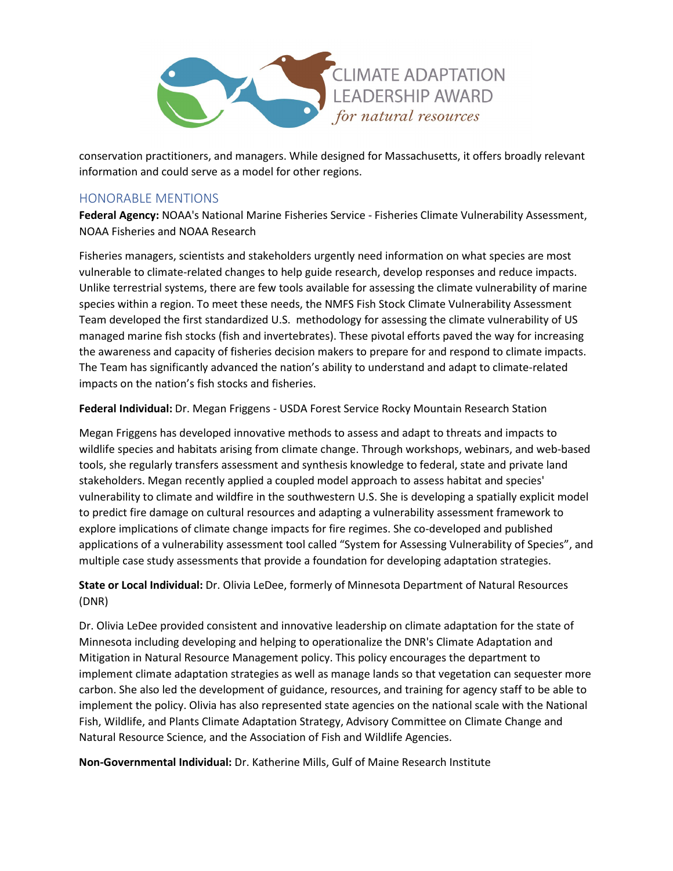

conservation practitioners, and managers. While designed for Massachusetts, it offers broadly relevant information and could serve as a model for other regions.

# HONORABLE MENTIONS

**Federal Agency:** NOAA's National Marine Fisheries Service - Fisheries Climate Vulnerability Assessment, NOAA Fisheries and NOAA Research

Fisheries managers, scientists and stakeholders urgently need information on what species are most vulnerable to climate-related changes to help guide research, develop responses and reduce impacts. Unlike terrestrial systems, there are few tools available for assessing the climate vulnerability of marine species within a region. To meet these needs, the NMFS Fish Stock Climate Vulnerability Assessment Team developed the first standardized U.S. methodology for assessing the climate vulnerability of US managed marine fish stocks (fish and invertebrates). These pivotal efforts paved the way for increasing the awareness and capacity of fisheries decision makers to prepare for and respond to climate impacts. The Team has significantly advanced the nation's ability to understand and adapt to climate-related impacts on the nation's fish stocks and fisheries.

**Federal Individual:** Dr. Megan Friggens - USDA Forest Service Rocky Mountain Research Station

Megan Friggens has developed innovative methods to assess and adapt to threats and impacts to wildlife species and habitats arising from climate change. Through workshops, webinars, and web-based tools, she regularly transfers assessment and synthesis knowledge to federal, state and private land stakeholders. Megan recently applied a coupled model approach to assess habitat and species' vulnerability to climate and wildfire in the southwestern U.S. She is developing a spatially explicit model to predict fire damage on cultural resources and adapting a vulnerability assessment framework to explore implications of climate change impacts for fire regimes. She co-developed and published applications of a vulnerability assessment tool called "System for Assessing Vulnerability of Species", and multiple case study assessments that provide a foundation for developing adaptation strategies.

**State or Local Individual:** Dr. Olivia LeDee, formerly of Minnesota Department of Natural Resources (DNR)

Dr. Olivia LeDee provided consistent and innovative leadership on climate adaptation for the state of Minnesota including developing and helping to operationalize the DNR's Climate Adaptation and Mitigation in Natural Resource Management policy. This policy encourages the department to implement climate adaptation strategies as well as manage lands so that vegetation can sequester more carbon. She also led the development of guidance, resources, and training for agency staff to be able to implement the policy. Olivia has also represented state agencies on the national scale with the National Fish, Wildlife, and Plants Climate Adaptation Strategy, Advisory Committee on Climate Change and Natural Resource Science, and the Association of Fish and Wildlife Agencies.

**Non-Governmental Individual:** Dr. Katherine Mills, Gulf of Maine Research Institute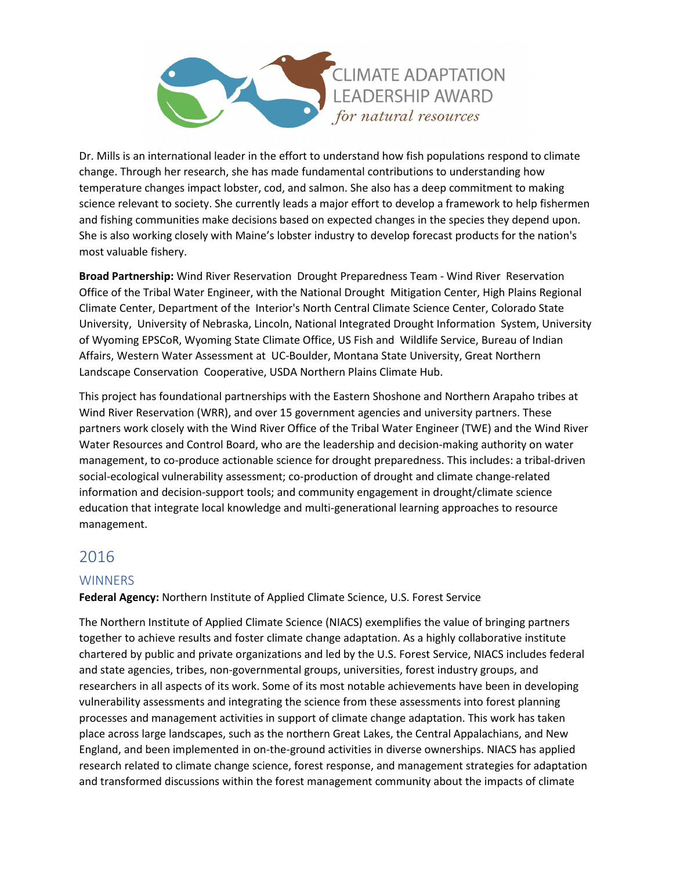

Dr. Mills is an international leader in the effort to understand how fish populations respond to climate change. Through her research, she has made fundamental contributions to understanding how temperature changes impact lobster, cod, and salmon. She also has a deep commitment to making science relevant to society. She currently leads a major effort to develop a framework to help fishermen and fishing communities make decisions based on expected changes in the species they depend upon. She is also working closely with Maine's lobster industry to develop forecast products for the nation's most valuable fishery.

**Broad Partnership:** Wind River Reservation Drought Preparedness Team - Wind River Reservation Office of the Tribal Water Engineer, with the National Drought Mitigation Center, High Plains Regional Climate Center, Department of the Interior's North Central Climate Science Center, Colorado State University, University of Nebraska, Lincoln, National Integrated Drought Information System, University of Wyoming EPSCoR, Wyoming State Climate Office, US Fish and Wildlife Service, Bureau of Indian Affairs, Western Water Assessment at UC-Boulder, Montana State University, Great Northern Landscape Conservation Cooperative, USDA Northern Plains Climate Hub.

This project has foundational partnerships with the Eastern Shoshone and Northern Arapaho tribes at Wind River Reservation (WRR), and over 15 government agencies and university partners. These partners work closely with the Wind River Office of the Tribal Water Engineer (TWE) and the Wind River Water Resources and Control Board, who are the leadership and decision-making authority on water management, to co-produce actionable science for drought preparedness. This includes: a tribal-driven social-ecological vulnerability assessment; co-production of drought and climate change-related information and decision-support tools; and community engagement in drought/climate science education that integrate local knowledge and multi-generational learning approaches to resource management.

# 2016

# **WINNERS**

## **Federal Agency:** Northern Institute of Applied Climate Science, U.S. Forest Service

The Northern Institute of Applied Climate Science (NIACS) exemplifies the value of bringing partners together to achieve results and foster climate change adaptation. As a highly collaborative institute chartered by public and private organizations and led by the U.S. Forest Service, NIACS includes federal and state agencies, tribes, non-governmental groups, universities, forest industry groups, and researchers in all aspects of its work. Some of its most notable achievements have been in developing vulnerability assessments and integrating the science from these assessments into forest planning processes and management activities in support of climate change adaptation. This work has taken place across large landscapes, such as the northern Great Lakes, the Central Appalachians, and New England, and been implemented in on-the-ground activities in diverse ownerships. NIACS has applied research related to climate change science, forest response, and management strategies for adaptation and transformed discussions within the forest management community about the impacts of climate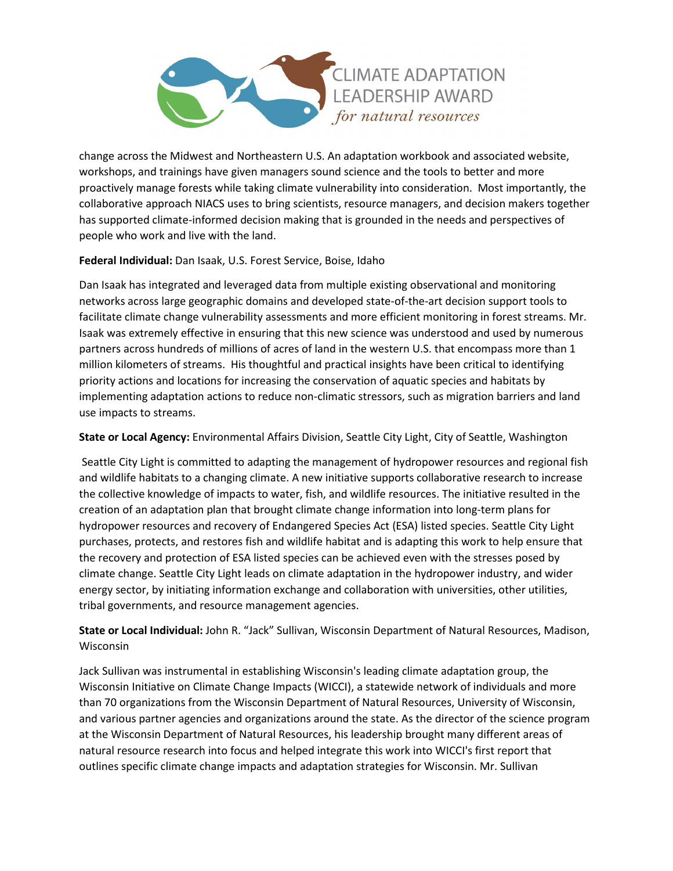

change across the Midwest and Northeastern U.S. An adaptation workbook and associated website, workshops, and trainings have given managers sound science and the tools to better and more proactively manage forests while taking climate vulnerability into consideration. Most importantly, the collaborative approach NIACS uses to bring scientists, resource managers, and decision makers together has supported climate-informed decision making that is grounded in the needs and perspectives of people who work and live with the land.

## **Federal Individual:** Dan Isaak, U.S. Forest Service, Boise, Idaho

Dan Isaak has integrated and leveraged data from multiple existing observational and monitoring networks across large geographic domains and developed state-of-the-art decision support tools to facilitate climate change vulnerability assessments and more efficient monitoring in forest streams. Mr. Isaak was extremely effective in ensuring that this new science was understood and used by numerous partners across hundreds of millions of acres of land in the western U.S. that encompass more than 1 million kilometers of streams. His thoughtful and practical insights have been critical to identifying priority actions and locations for increasing the conservation of aquatic species and habitats by implementing adaptation actions to reduce non-climatic stressors, such as migration barriers and land use impacts to streams.

#### **State or Local Agency:** Environmental Affairs Division, Seattle City Light, City of Seattle, Washington

Seattle City Light is committed to adapting the management of hydropower resources and regional fish and wildlife habitats to a changing climate. A new initiative supports collaborative research to increase the collective knowledge of impacts to water, fish, and wildlife resources. The initiative resulted in the creation of an adaptation plan that brought climate change information into long-term plans for hydropower resources and recovery of Endangered Species Act (ESA) listed species. Seattle City Light purchases, protects, and restores fish and wildlife habitat and is adapting this work to help ensure that the recovery and protection of ESA listed species can be achieved even with the stresses posed by climate change. Seattle City Light leads on climate adaptation in the hydropower industry, and wider energy sector, by initiating information exchange and collaboration with universities, other utilities, tribal governments, and resource management agencies.

**State or Local Individual:** John R. "Jack" Sullivan, Wisconsin Department of Natural Resources, Madison, Wisconsin

Jack Sullivan was instrumental in establishing Wisconsin's leading climate adaptation group, the Wisconsin Initiative on Climate Change Impacts (WICCI), a statewide network of individuals and more than 70 organizations from the Wisconsin Department of Natural Resources, University of Wisconsin, and various partner agencies and organizations around the state. As the director of the science program at the Wisconsin Department of Natural Resources, his leadership brought many different areas of natural resource research into focus and helped integrate this work into WICCI's first report that outlines specific climate change impacts and adaptation strategies for Wisconsin. Mr. Sullivan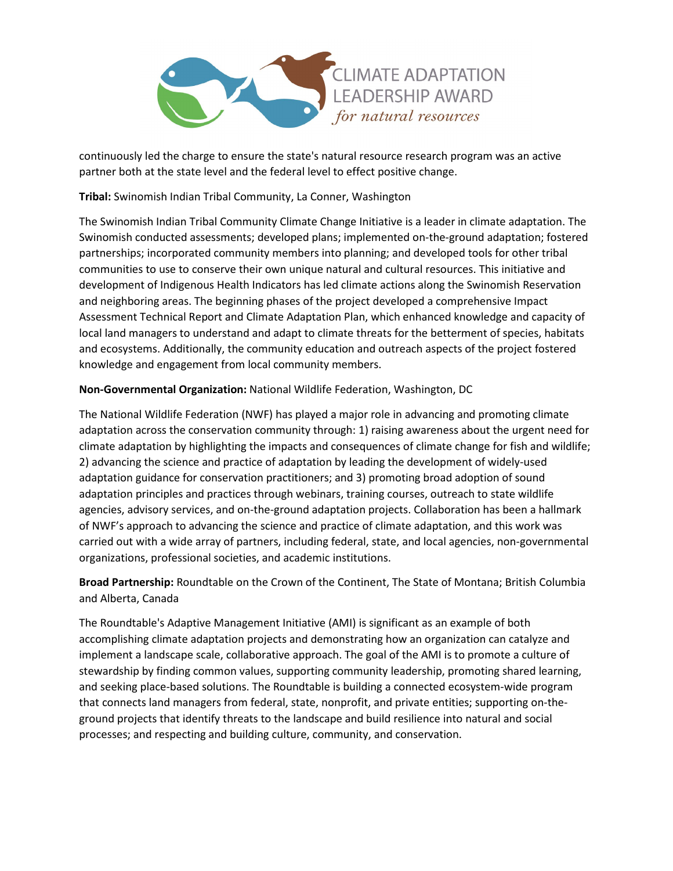

continuously led the charge to ensure the state's natural resource research program was an active partner both at the state level and the federal level to effect positive change.

**Tribal:** Swinomish Indian Tribal Community, La Conner, Washington

The Swinomish Indian Tribal Community Climate Change Initiative is a leader in climate adaptation. The Swinomish conducted assessments; developed plans; implemented on-the-ground adaptation; fostered partnerships; incorporated community members into planning; and developed tools for other tribal communities to use to conserve their own unique natural and cultural resources. This initiative and development of Indigenous Health Indicators has led climate actions along the Swinomish Reservation and neighboring areas. The beginning phases of the project developed a comprehensive Impact Assessment Technical Report and Climate Adaptation Plan, which enhanced knowledge and capacity of local land managers to understand and adapt to climate threats for the betterment of species, habitats and ecosystems. Additionally, the community education and outreach aspects of the project fostered knowledge and engagement from local community members.

## **Non-Governmental Organization:** National Wildlife Federation, Washington, DC

The National Wildlife Federation (NWF) has played a major role in advancing and promoting climate adaptation across the conservation community through: 1) raising awareness about the urgent need for climate adaptation by highlighting the impacts and consequences of climate change for fish and wildlife; 2) advancing the science and practice of adaptation by leading the development of widely-used adaptation guidance for conservation practitioners; and 3) promoting broad adoption of sound adaptation principles and practices through webinars, training courses, outreach to state wildlife agencies, advisory services, and on-the-ground adaptation projects. Collaboration has been a hallmark of NWF's approach to advancing the science and practice of climate adaptation, and this work was carried out with a wide array of partners, including federal, state, and local agencies, non-governmental organizations, professional societies, and academic institutions.

**Broad Partnership:** Roundtable on the Crown of the Continent, The State of Montana; British Columbia and Alberta, Canada

The Roundtable's Adaptive Management Initiative (AMI) is significant as an example of both accomplishing climate adaptation projects and demonstrating how an organization can catalyze and implement a landscape scale, collaborative approach. The goal of the AMI is to promote a culture of stewardship by finding common values, supporting community leadership, promoting shared learning, and seeking place-based solutions. The Roundtable is building a connected ecosystem-wide program that connects land managers from federal, state, nonprofit, and private entities; supporting on-theground projects that identify threats to the landscape and build resilience into natural and social processes; and respecting and building culture, community, and conservation.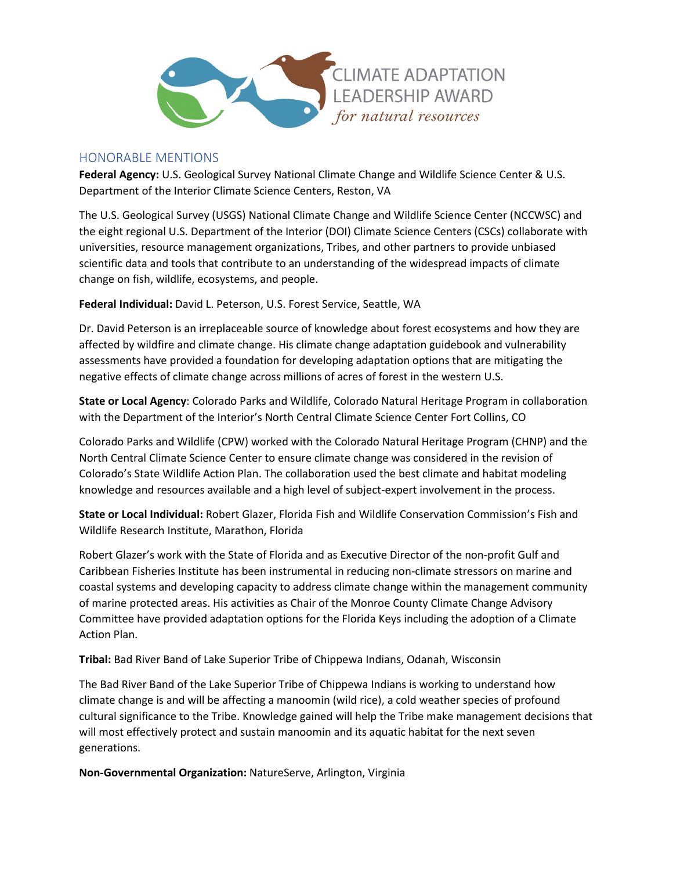

## HONORABLE MENTIONS

**Federal Agency:** U.S. Geological Survey National Climate Change and Wildlife Science Center & U.S. Department of the Interior Climate Science Centers, Reston, VA

The U.S. Geological Survey (USGS) National Climate Change and Wildlife Science Center (NCCWSC) and the eight regional U.S. Department of the Interior (DOI) Climate Science Centers (CSCs) collaborate with universities, resource management organizations, Tribes, and other partners to provide unbiased scientific data and tools that contribute to an understanding of the widespread impacts of climate change on fish, wildlife, ecosystems, and people.

**Federal Individual:** David L. Peterson, U.S. Forest Service, Seattle, WA

Dr. David Peterson is an irreplaceable source of knowledge about forest ecosystems and how they are affected by wildfire and climate change. His climate change adaptation guidebook and vulnerability assessments have provided a foundation for developing adaptation options that are mitigating the negative effects of climate change across millions of acres of forest in the western U.S.

**State or Local Agency**: Colorado Parks and Wildlife, Colorado Natural Heritage Program in collaboration with the Department of the Interior's North Central Climate Science Center Fort Collins, CO

Colorado Parks and Wildlife (CPW) worked with the Colorado Natural Heritage Program (CHNP) and the North Central Climate Science Center to ensure climate change was considered in the revision of Colorado's State Wildlife Action Plan. The collaboration used the best climate and habitat modeling knowledge and resources available and a high level of subject-expert involvement in the process.

**State or Local Individual:** Robert Glazer, Florida Fish and Wildlife Conservation Commission's Fish and Wildlife Research Institute, Marathon, Florida

Robert Glazer's work with the State of Florida and as Executive Director of the non-profit Gulf and Caribbean Fisheries Institute has been instrumental in reducing non-climate stressors on marine and coastal systems and developing capacity to address climate change within the management community of marine protected areas. His activities as Chair of the Monroe County Climate Change Advisory Committee have provided adaptation options for the Florida Keys including the adoption of a Climate Action Plan.

**Tribal:** Bad River Band of Lake Superior Tribe of Chippewa Indians, Odanah, Wisconsin

The Bad River Band of the Lake Superior Tribe of Chippewa Indians is working to understand how climate change is and will be affecting a manoomin (wild rice), a cold weather species of profound cultural significance to the Tribe. Knowledge gained will help the Tribe make management decisions that will most effectively protect and sustain manoomin and its aquatic habitat for the next seven generations.

**Non-Governmental Organization:** NatureServe, Arlington, Virginia